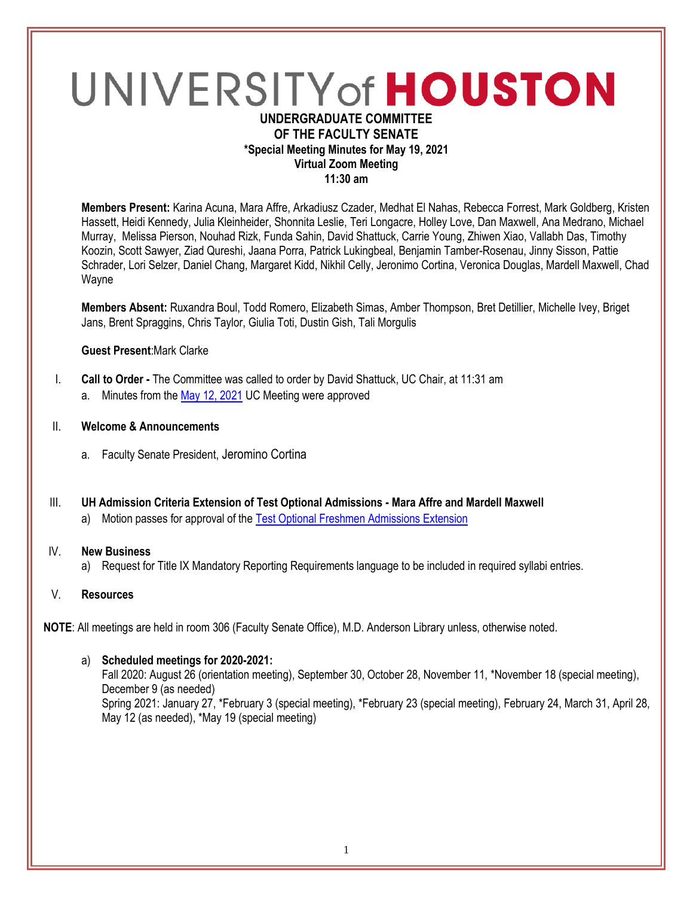# UNIVERSITY of HOUSTON

## **UNDERGRADUATE COMMITTEE OF THE FACULTY SENATE \*Special Meeting Minutes for May 19, 2021 Virtual Zoom Meeting 11:30 am**

**Members Present:** Karina Acuna, Mara Affre, Arkadiusz Czader, Medhat El Nahas, Rebecca Forrest, Mark Goldberg, Kristen Hassett, Heidi Kennedy, Julia Kleinheider, Shonnita Leslie, Teri Longacre, Holley Love, Dan Maxwell, Ana Medrano, Michael Murray, Melissa Pierson, Nouhad Rizk, Funda Sahin, David Shattuck, Carrie Young, Zhiwen Xiao, Vallabh Das, Timothy Koozin, Scott Sawyer, Ziad Qureshi, Jaana Porra, Patrick Lukingbeal, Benjamin Tamber-Rosenau, Jinny Sisson, Pattie Schrader, Lori Selzer, Daniel Chang, Margaret Kidd, Nikhil Celly, Jeronimo Cortina, Veronica Douglas, Mardell Maxwell, Chad Wayne

**Members Absent:** Ruxandra Boul, Todd Romero, Elizabeth Simas, Amber Thompson, Bret Detillier, Michelle Ivey, Briget Jans, Brent Spraggins, Chris Taylor, Giulia Toti, Dustin Gish, Tali Morgulis

#### **Guest Present**:Mark Clarke

- I. **Call to Order -** The Committee was called to order by David Shattuck, UC Chair, at 11:31 am
	- a. Minutes from th[e May 12, 2021](https://uh.edu/undergraduate-committee/meetings/agendas-minutes/ay-2021/m_2021_05121.pdf) UC Meeting were approved
- II. **Welcome & Announcements**
	- a. Faculty Senate President, Jeromino Cortina
- III. **UH Admission Criteria Extension of Test Optional Admissions - Mara Affre and Mardell Maxwell** 
	- a) Motion passes for approval of the [Test Optional Freshmen Admissions Extension](https://uofh.sharepoint.com/sites/uc/Lists/ProposalSubmissionAndTracking/DispForm.aspx?ID=2310&originalPath=aHR0cHM6Ly91b2ZoLnNoYXJlcG9pbnQuY29tLzpsaTovcy91Yy9FN3NSaExoa1gxMU5nQk1hTHBrendxQUJudzUxNzcwNWU2Mm5IT1FtWHExQWJRP3J0aW1lPVlZZDNyTllhMlVn)

#### IV. **New Business**

a) Request for Title IX Mandatory Reporting Requirements language to be included in required syllabi entries.

# V. **Resources**

**NOTE**: All meetings are held in room 306 (Faculty Senate Office), M.D. Anderson Library unless, otherwise noted.

#### a) **Scheduled meetings for 2020-2021:**

Fall 2020: August 26 (orientation meeting), September 30, October 28, November 11, \*November 18 (special meeting), December 9 (as needed) Spring 2021: January 27, \*February 3 (special meeting), \*February 23 (special meeting), February 24, March 31, April 28, May 12 (as needed), \*May 19 (special meeting)